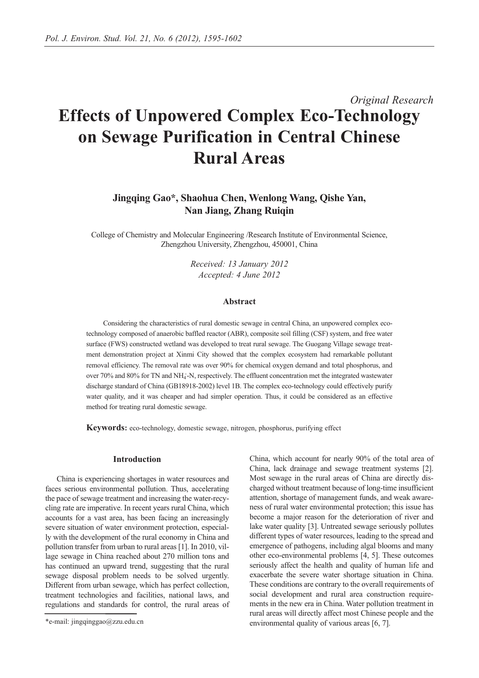# *Original Research* **Effects of Unpowered Complex Eco-Technology on Sewage Purification in Central Chinese Rural Areas**

# **Jingqing Gao\*, Shaohua Chen, Wenlong Wang, Qishe Yan, Nan Jiang, Zhang Ruiqin**

College of Chemistry and Molecular Engineering /Research Institute of Environmental Science, Zhengzhou University, Zhengzhou, 450001, China

> *Received: 13 January 2012 Accepted: 4 June 2012*

#### **Abstract**

Considering the characteristics of rural domestic sewage in central China, an unpowered complex ecotechnology composed of anaerobic baffled reactor (ABR), composite soil filling (CSF) system, and free water surface (FWS) constructed wetland was developed to treat rural sewage. The Guogang Village sewage treatment demonstration project at Xinmi City showed that the complex ecosystem had remarkable pollutant removal efficiency. The removal rate was over 90% for chemical oxygen demand and total phosphorus, and over 70% and 80% for TN and NH4 + -N, respectively. The effluent concentration met the integrated wastewater discharge standard of China (GB18918-2002) level 1B. The complex eco-technology could effectively purify water quality, and it was cheaper and had simpler operation. Thus, it could be considered as an effective method for treating rural domestic sewage.

**Keywords:** eco-technology, domestic sewage, nitrogen, phosphorus, purifying effect

#### **Introduction**

China is experiencing shortages in water resources and faces serious environmental pollution. Thus, accelerating the pace of sewage treatment and increasing the water-recycling rate are imperative. In recent years rural China, which accounts for a vast area, has been facing an increasingly severe situation of water environment protection, especially with the development of the rural economy in China and pollution transfer from urban to rural areas [1]. In 2010, village sewage in China reached about 270 million tons and has continued an upward trend, suggesting that the rural sewage disposal problem needs to be solved urgently. Different from urban sewage, which has perfect collection, treatment technologies and facilities, national laws, and regulations and standards for control, the rural areas of China, which account for nearly 90% of the total area of China, lack drainage and sewage treatment systems [2]. Most sewage in the rural areas of China are directly discharged without treatment because of long-time insufficient attention, shortage of management funds, and weak awareness of rural water environmental protection; this issue has become a major reason for the deterioration of river and lake water quality [3]. Untreated sewage seriously pollutes different types of water resources, leading to the spread and emergence of pathogens, including algal blooms and many other eco-environmental problems [4, 5]. These outcomes seriously affect the health and quality of human life and exacerbate the severe water shortage situation in China. These conditions are contrary to the overall requirements of social development and rural area construction requirements in the new era in China. Water pollution treatment in rural areas will directly affect most Chinese people and the environmental quality of various areas [6, 7].

<sup>\*</sup>e-mail: jingqinggao@zzu.edu.cn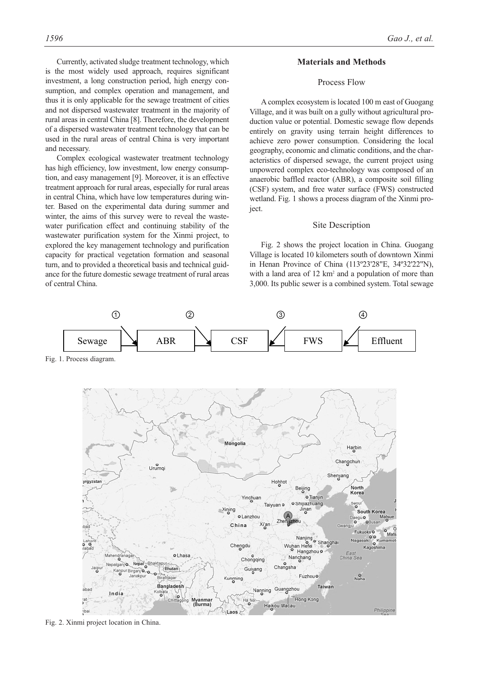Currently, activated sludge treatment technology, which is the most widely used approach, requires significant investment, a long construction period, high energy consumption, and complex operation and management, and thus it is only applicable for the sewage treatment of cities and not dispersed wastewater treatment in the majority of rural areas in central China [8]. Therefore, the development of a dispersed wastewater treatment technology that can be used in the rural areas of central China is very important and necessary.

Complex ecological wastewater treatment technology has high efficiency, low investment, low energy consumption, and easy management [9]. Moreover, it is an effective treatment approach for rural areas, especially for rural areas in central China, which have low temperatures during winter. Based on the experimental data during summer and winter, the aims of this survey were to reveal the wastewater purification effect and continuing stability of the wastewater purification system for the Xinmi project, to explored the key management technology and purification capacity for practical vegetation formation and seasonal turn, and to provided a theoretical basis and technical guidance for the future domestic sewage treatment of rural areas of central China.

#### **Materials and Methods**

#### Process Flow

A complex ecosystem is located 100 m east of Guogang Village, and it was built on a gully without agricultural production value or potential. Domestic sewage flow depends entirely on gravity using terrain height differences to achieve zero power consumption. Considering the local geography, economic and climatic conditions, and the characteristics of dispersed sewage, the current project using unpowered complex eco-technology was composed of an anaerobic baffled reactor (ABR), a composite soil filling (CSF) system, and free water surface (FWS) constructed wetland. Fig. 1 shows a process diagram of the Xinmi project.

#### Site Description

Fig. 2 shows the project location in China. Guogang Village is located 10 kilometers south of downtown Xinmi in Henan Province of China (113º23'28"E, 34º32'22"N), with a land area of 12 km<sup>2</sup> and a population of more than 3,000. Its public sewer is a combined system. Total sewage



Fig. 2. Xinmi project location in China.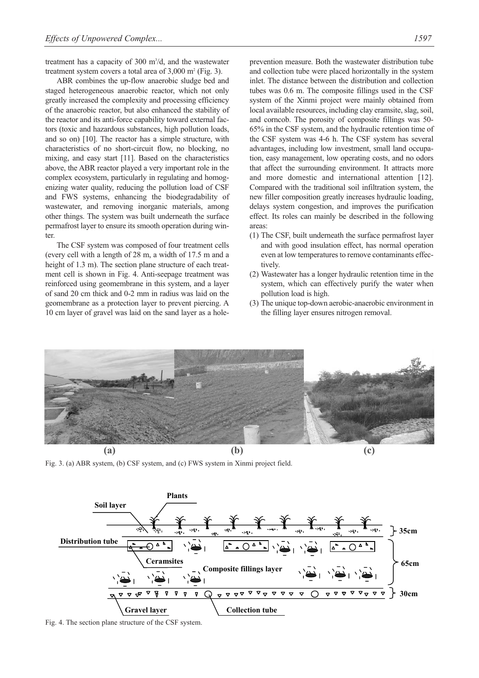treatment has a capacity of 300 m<sup>3</sup>/d, and the wastewater treatment system covers a total area of  $3,000$  m<sup>2</sup> (Fig. 3).

ABR combines the up-flow anaerobic sludge bed and staged heterogeneous anaerobic reactor, which not only greatly increased the complexity and processing efficiency of the anaerobic reactor, but also enhanced the stability of the reactor and its anti-force capability toward external factors (toxic and hazardous substances, high pollution loads, and so on) [10]. The reactor has a simple structure, with characteristics of no short-circuit flow, no blocking, no mixing, and easy start [11]. Based on the characteristics above, the ABR reactor played a very important role in the complex ecosystem, particularly in regulating and homogenizing water quality, reducing the pollution load of CSF and FWS systems, enhancing the biodegradability of wastewater, and removing inorganic materials, among other things. The system was built underneath the surface permafrost layer to ensure its smooth operation during winter.

The CSF system was composed of four treatment cells (every cell with a length of 28 m, a width of 17.5 m and a height of 1.3 m). The section plane structure of each treatment cell is shown in Fig. 4. Anti-seepage treatment was reinforced using geomembrane in this system, and a layer of sand 20 cm thick and 0-2 mm in radius was laid on the geomembrane as a protection layer to prevent piercing. A 10 cm layer of gravel was laid on the sand layer as a holeprevention measure. Both the wastewater distribution tube and collection tube were placed horizontally in the system inlet. The distance between the distribution and collection tubes was 0.6 m. The composite fillings used in the CSF system of the Xinmi project were mainly obtained from local available resources, including clay eramsite, slag, soil, and corncob. The porosity of composite fillings was 50- 65% in the CSF system, and the hydraulic retention time of the CSF system was 4-6 h. The CSF system has several advantages, including low investment, small land occupation, easy management, low operating costs, and no odors that affect the surrounding environment. It attracts more and more domestic and international attention [12]. Compared with the traditional soil infiltration system, the new filler composition greatly increases hydraulic loading, delays system congestion, and improves the purification effect. Its roles can mainly be described in the following areas:

- (1) The CSF, built underneath the surface permafrost layer and with good insulation effect, has normal operation even at low temperatures to remove contaminants effectively.
- (2) Wastewater has a longer hydraulic retention time in the system, which can effectively purify the water when pollution load is high.
- (3) The unique top-down aerobic-anaerobic environment in the filling layer ensures nitrogen removal.



Fig. 3. (a) ABR system, (b) CSF system, and (c) FWS system in Xinmi project field.



Fig. 4. The section plane structure of the CSF system.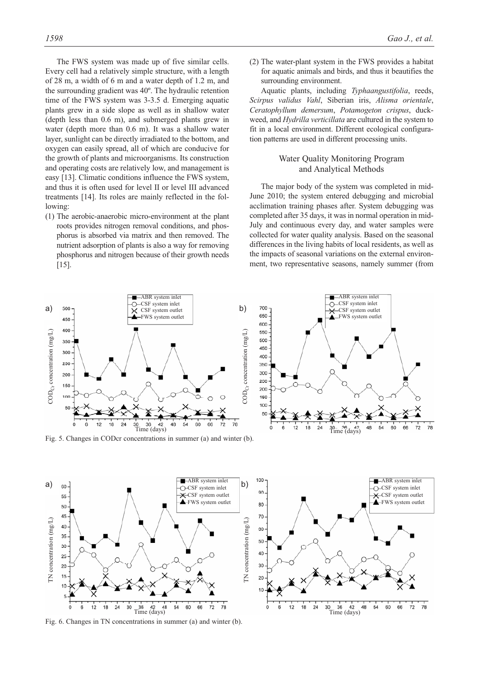The FWS system was made up of five similar cells. Every cell had a relatively simple structure, with a length of 28 m, a width of 6 m and a water depth of 1.2 m, and the surrounding gradient was 40º. The hydraulic retention time of the FWS system was 3-3.5 d. Emerging aquatic plants grew in a side slope as well as in shallow water (depth less than 0.6 m), and submerged plants grew in water (depth more than 0.6 m). It was a shallow water layer, sunlight can be directly irradiated to the bottom, and oxygen can easily spread, all of which are conducive for the growth of plants and microorganisms. Its construction and operating costs are relatively low, and management is easy [13]. Climatic conditions influence the FWS system, and thus it is often used for level II or level III advanced treatments [14]. Its roles are mainly reflected in the following:

(1) The aerobic-anaerobic micro-environment at the plant roots provides nitrogen removal conditions, and phosphorus is absorbed via matrix and then removed. The nutrient adsorption of plants is also a way for removing phosphorus and nitrogen because of their growth needs  $[15]$ .

(2) The water-plant system in the FWS provides a habitat for aquatic animals and birds, and thus it beautifies the surrounding environment.

Aquatic plants, including *Typhaangustifolia*, reeds, *Scirpus validus Vahl*, Siberian iris, *Alisma orientale*, *Ceratophyllum demersum*, *Potamogeton crispus*, duckweed, and *Hydrilla verticillata* are cultured in the system to fit in a local environment. Different ecological configuration patterns are used in different processing units.

### Water Quality Monitoring Program and Analytical Methods

The major body of the system was completed in mid-June 2010; the system entered debugging and microbial acclimation training phases after. System debugging was completed after 35 days, it was in normal operation in mid-July and continuous every day, and water samples were collected for water quality analysis. Based on the seasonal differences in the living habits of local residents, as well as the impacts of seasonal variations on the external environment, two representative seasons, namely summer (from



Fig. 5. Changes in CODcr concentrations in summer (a) and winter (b).

Time (days)

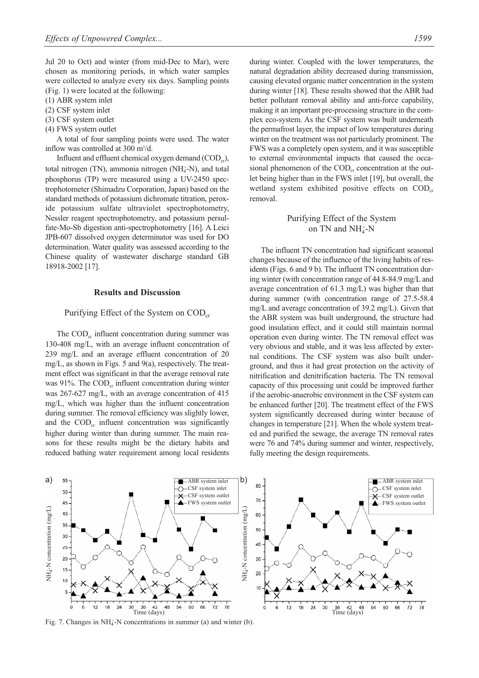Jul 20 to Oct) and winter (from mid-Dec to Mar), were chosen as monitoring periods, in which water samples were collected to analyze every six days. Sampling points (Fig. 1) were located at the following:

- (1) ABR system inlet
- (2) CSF system inlet
- (3) CSF system outlet
- (4) FWS system outlet

A total of four sampling points were used. The water inflow was controlled at 300 m<sup>3</sup>/d.

Influent and effluent chemical oxygen demand  $(COD<sub>cr</sub>)$ , total nitrogen (TN), ammonia nitrogen (NH<sub>4</sub>-N), and total phosphorus (TP) were measured using a UV-2450 spectrophotometer (Shimadzu Corporation, Japan) based on the standard methods of potassium dichromate titration, peroxide potassium sulfate ultraviolet spectrophotometry, Nessler reagent spectrophotometry, and potassium persulfate-Mo-Sb digestion anti-spectrophotometry [16]. A Leici JPB-607 dissolved oxygen determinator was used for DO determination. Water quality was assessed according to the Chinese quality of wastewater discharge standard GB 18918-2002 [17].

#### **Results and Discussion**

#### Purifying Effect of the System on  $\text{COD}_{cr}$

The  $\text{COD}_{cr}$  influent concentration during summer was 130-408 mg/L, with an average influent concentration of 239 mg/L and an average effluent concentration of 20 mg/L, as shown in Figs. 5 and 9(a), respectively. The treatment effect was significant in that the average removal rate was  $91\%$ . The COD<sub>cr</sub> influent concentration during winter was 267-627 mg/L, with an average concentration of 415 mg/L, which was higher than the influent concentration during summer. The removal efficiency was slightly lower, and the  $\text{COD}_{cr}$  influent concentration was significantly higher during winter than during summer. The main reasons for these results might be the dietary habits and reduced bathing water requirement among local residents during winter. Coupled with the lower temperatures, the natural degradation ability decreased during transmission, causing elevated organic matter concentration in the system during winter [18]. These results showed that the ABR had better pollutant removal ability and anti-force capability, making it an important pre-processing structure in the complex eco-system. As the CSF system was built underneath the permafrost layer, the impact of low temperatures during winter on the treatment was not particularly prominent. The FWS was a completely open system, and it was susceptible to external environmental impacts that caused the occasional phenomenon of the  $\text{COD}_{cr}$  concentration at the outlet being higher than in the FWS inlet [19], but overall, the wetland system exhibited positive effects on  $\text{COD}_{cr}$ removal.

## Purifying Effect of the System on TN and  $NH_4^+$ -N

The influent TN concentration had significant seasonal changes because of the influence of the living habits of residents (Figs. 6 and 9 b). The influent TN concentration during winter (with concentration range of 44.8-84.9 mg/L and average concentration of 61.3 mg/L) was higher than that during summer (with concentration range of 27.5-58.4 mg/L and average concentration of 39.2 mg/L). Given that the ABR system was built underground, the structure had good insulation effect, and it could still maintain normal operation even during winter. The TN removal effect was very obvious and stable, and it was less affected by external conditions. The CSF system was also built underground, and thus it had great protection on the activity of nitrification and denitrification bacteria. The TN removal capacity of this processing unit could be improved further if the aerobic-anaerobic environment in the CSF system can be enhanced further [20]. The treatment effect of the FWS system significantly decreased during winter because of changes in temperature [21]. When the whole system treated and purified the sewage, the average TN removal rates were 76 and 74% during summer and winter, respectively, fully meeting the design requirements.



Fig. 7. Changes in NH<sub>4</sub><sup>-</sup>N concentrations in summer (a) and winter (b).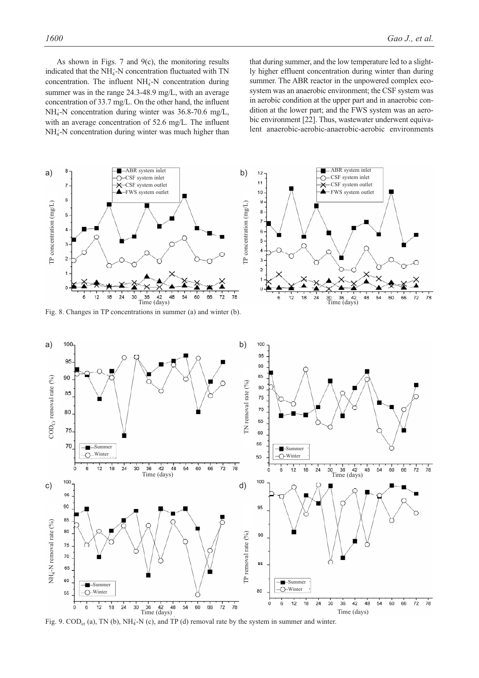As shown in Figs. 7 and  $9(c)$ , the monitoring results indicated that the NH<sub>4</sub>-N concentration fluctuated with TN concentration. The influent  $NH<sub>4</sub>$ -N concentration during summer was in the range 24.3-48.9 mg/L, with an average concentration of 33.7 mg/L. On the other hand, the influent NH<sub>4</sub>-N concentration during winter was 36.8-70.6 mg/L, with an average concentration of 52.6 mg/L. The influent NH<sub>4</sub>-N concentration during winter was much higher than

that during summer, and the low temperature led to a slightly higher effluent concentration during winter than during summer. The ABR reactor in the unpowered complex ecosystem was an anaerobic environment; the CSF system was in aerobic condition at the upper part and in anaerobic condition at the lower part; and the FWS system was an aerobic environment [22]. Thus, wastewater underwent equivalent anaerobic-aerobic-anaerobic-aerobic environments



Fig. 8. Changes in TP concentrations in summer (a) and winter (b).



Fig. 9.  $\text{COD}_{\text{cr}}$  (a), TN (b), NH<sub>4</sub><sup>-</sup>N (c), and TP (d) removal rate by the system in summer and winter.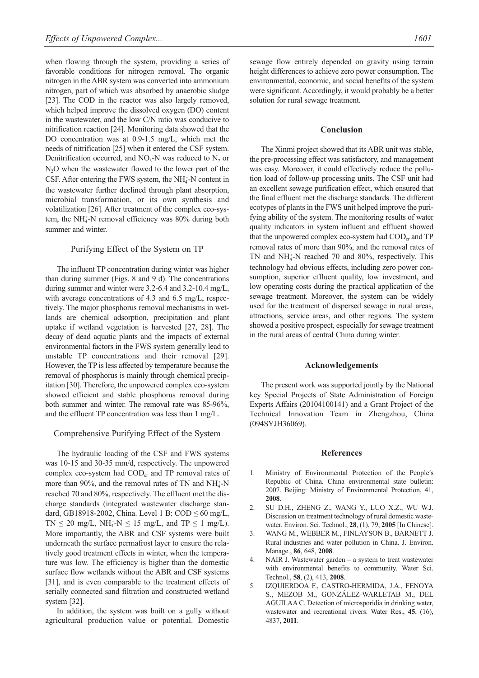when flowing through the system, providing a series of favorable conditions for nitrogen removal. The organic nitrogen in the ABR system was converted into ammonium nitrogen, part of which was absorbed by anaerobic sludge [23]. The COD in the reactor was also largely removed, which helped improve the dissolved oxygen (DO) content in the wastewater, and the low C/N ratio was conducive to nitrification reaction [24]. Monitoring data showed that the DO concentration was at 0.9-1.5 mg/L, which met the needs of nitrification [25] when it entered the CSF system. Denitrification occurred, and  $NO_3-N$  was reduced to  $N_2$  or  $N<sub>2</sub>O$  when the wastewater flowed to the lower part of the CSF. After entering the FWS system, the  $NH<sub>4</sub>$ -N content in the wastewater further declined through plant absorption, microbial transformation, or its own synthesis and volatilization [26]. After treatment of the complex eco-system, the NH<sub>4</sub>-N removal efficiency was 80% during both summer and winter.

#### Purifying Effect of the System on TP

The influent TP concentration during winter was higher than during summer (Figs. 8 and 9 d). The concentrations during summer and winter were 3.2-6.4 and 3.2-10.4 mg/L, with average concentrations of 4.3 and 6.5 mg/L, respectively. The major phosphorus removal mechanisms in wetlands are chemical adsorption, precipitation and plant uptake if wetland vegetation is harvested [27, 28]. The decay of dead aquatic plants and the impacts of external environmental factors in the FWS system generally lead to unstable TP concentrations and their removal [29]. However, the TP is less affected by temperature because the removal of phosphorus is mainly through chemical precipitation [30]. Therefore, the unpowered complex eco-system showed efficient and stable phosphorus removal during both summer and winter. The removal rate was 85-96%, and the effluent TP concentration was less than 1 mg/L.

#### Comprehensive Purifying Effect of the System

The hydraulic loading of the CSF and FWS systems was 10-15 and 30-35 mm/d, respectively. The unpowered complex eco-system had COD<sub>cr</sub> and TP removal rates of more than 90%, and the removal rates of TN and  $NH_4^+$ -N reached 70 and 80%, respectively. The effluent met the discharge standards (integrated wastewater discharge standard, GB18918-2002, China. Level 1 B: COD ≤ 60 mg/L,  $TN \le 20$  mg/L,  $NH_4^+N \le 15$  mg/L, and  $TP \le 1$  mg/L). More importantly, the ABR and CSF systems were built underneath the surface permafrost layer to ensure the relatively good treatment effects in winter, when the temperature was low. The efficiency is higher than the domestic surface flow wetlands without the ABR and CSF systems [31], and is even comparable to the treatment effects of serially connected sand filtration and constructed wetland system [32].

In addition, the system was built on a gully without agricultural production value or potential. Domestic sewage flow entirely depended on gravity using terrain height differences to achieve zero power consumption. The environmental, economic, and social benefits of the system were significant. Accordingly, it would probably be a better solution for rural sewage treatment.

#### **Conclusion**

The Xinmi project showed that its ABR unit was stable, the pre-processing effect was satisfactory, and management was easy. Moreover, it could effectively reduce the pollution load of follow-up processing units. The CSF unit had an excellent sewage purification effect, which ensured that the final effluent met the discharge standards. The different ecotypes of plants in the FWS unit helped improve the purifying ability of the system. The monitoring results of water quality indicators in system influent and effluent showed that the unpowered complex eco-system had  $\text{COD}_{cr}$  and TP removal rates of more than 90%, and the removal rates of TN and  $NH_4^+$ -N reached 70 and 80%, respectively. This technology had obvious effects, including zero power consumption, superior effluent quality, low investment, and low operating costs during the practical application of the sewage treatment. Moreover, the system can be widely used for the treatment of dispersed sewage in rural areas, attractions, service areas, and other regions. The system showed a positive prospect, especially for sewage treatment in the rural areas of central China during winter.

#### **Acknowledgements**

The present work was supported jointly by the National key Special Projects of State Administration of Foreign Experts Affairs (20104100141) and a Grant Project of the Technical Innovation Team in Zhengzhou, China (094SYJH36069).

#### **References**

- 1. Ministry of Environmental Protection of the People′s Republic of China. China environmental state bulletin: 2007. Beijing: Ministry of Environmental Protection, 41, **2008**.
- 2. SU D.H., ZHENG Z., WANG Y., LUO X.Z., WU W.J. Discussion on treatment technology of rural domestic wastewater. Environ. Sci. Technol., **28**, (1), 79, **2005** [In Chinese].
- 3. WANG M., WEBBER M., FINLAYSON B., BARNETT J. Rural industries and water pollution in China. J. Environ. Manage., **86**, 648, **2008**.
- NAIR J. Wastewater garden  $-$  a system to treat wastewater with environmental benefits to community. Water Sci. Technol., **58**, (2), 413, **2008**.
- 5. IZQUIERDOA F., CASTRO-HERMIDA, J.A., FENOYA S., MEZOB M., GONZÁLEZ-WARLETAB M., DEL AGUILAA C. Detection of microsporidia in drinking water, wastewater and recreational rivers. Water Res., **45**, (16), 4837, **2011**.